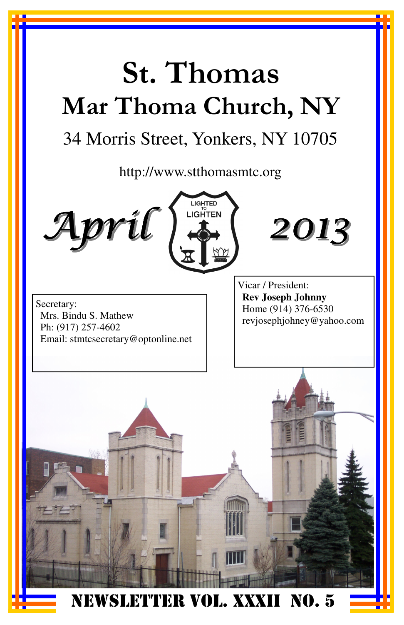# St. Thomas Mar Thoma Church, NY

## 34 Morris Street, Yonkers, NY 10705

http://www.stthomasmtc.org







Secretary: Mrs. Bindu S. Mathew Ph: (917) 257-4602 Email: stmtcsecretary@optonline.net Vicar / President: **Rev Joseph Johnny**  Home (914) 376-6530 revjosephjohney@yahoo.com

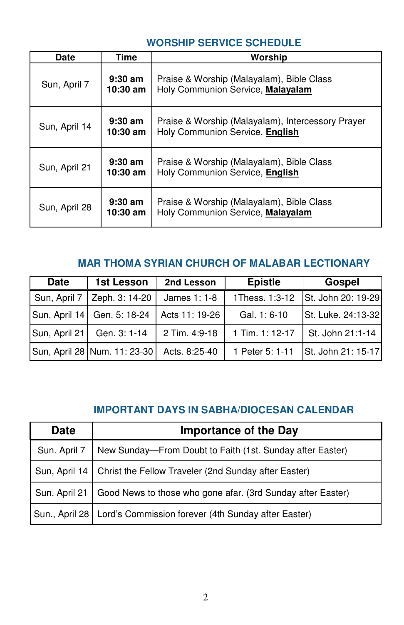#### **WORSHIP SERVICE SCHEDULE**

| Date          | Time                    | Worship                                                                              |
|---------------|-------------------------|--------------------------------------------------------------------------------------|
| Sun, April 7  | $9:30$ am<br>$10:30$ am | Praise & Worship (Malayalam), Bible Class<br>Holy Communion Service, Malayalam       |
| Sun, April 14 | $9:30$ am<br>$10:30$ am | Praise & Worship (Malayalam), Intercessory Prayer<br>Holy Communion Service, English |
| Sun, April 21 | $9:30$ am<br>$10:30$ am | Praise & Worship (Malayalam), Bible Class<br>Holy Communion Service, English         |
| Sun, April 28 | $9:30$ am<br>$10:30$ am | Praise & Worship (Malayalam), Bible Class<br>Holy Communion Service, Malayalam       |

### **MAR THOMA SYRIAN CHURCH OF MALABAR LECTIONARY**

| <b>Date</b>   | 1st Lesson                   | 2nd Lesson     | <b>Epistle</b>    | Gospel             |
|---------------|------------------------------|----------------|-------------------|--------------------|
|               | Sun, April 7 Zeph. 3: 14-20  | James $1:1-8$  | 1Thess. 1:3-12    | St. John 20: 19-29 |
|               | Sun, April 14 Gen. 5: 18-24  | Acts 11: 19-26 | Gal. 1: 6-10      | St. Luke. 24:13-32 |
| Sun, April 21 | Gen. 3: 1-14                 | 2 Tim. 4:9-18  | $1$ Tim. 1: 12-17 | St. John 21:1-14   |
|               | Sun, April 28 Num. 11: 23-30 | Acts. 8:25-40  | 1 Peter 5: 1-11   | St. John 21: 15-17 |

### **IMPORTANT DAYS IN SABHA/DIOCESAN CALENDAR**

| <b>Date</b>  | <b>Importance of the Day</b>                                                |
|--------------|-----------------------------------------------------------------------------|
| Sun. April 7 | New Sunday-From Doubt to Faith (1st. Sunday after Easter)                   |
|              | Sun, April 14   Christ the Fellow Traveler (2nd Sunday after Easter)        |
|              | Sun, April 21   Good News to those who gone afar. (3rd Sunday after Easter) |
|              | Sun., April 28   Lord's Commission forever (4th Sunday after Easter)        |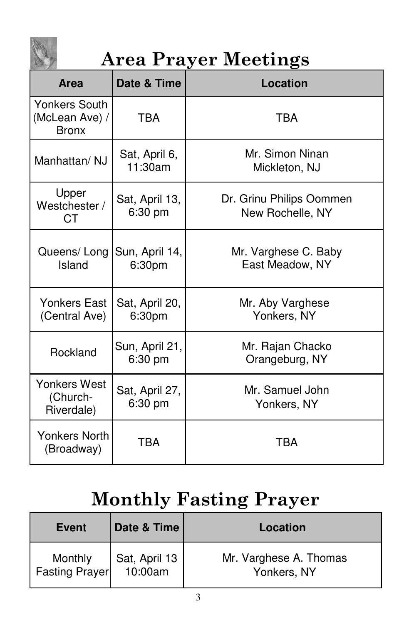

## Area Prayer Meetings

| <b>Area</b>                                            | Date & Time               | <b>Location</b>                              |
|--------------------------------------------------------|---------------------------|----------------------------------------------|
| <b>Yonkers South</b><br>(McLean Ave) /<br><b>Bronx</b> | <b>TBA</b>                | <b>TBA</b>                                   |
| Manhattan/NJ                                           | Sat, April 6,<br>11:30am  | Mr. Simon Ninan<br>Mickleton, NJ             |
| Upper<br>Westchester /<br><b>CT</b>                    | Sat, April 13,<br>6:30 pm | Dr. Grinu Philips Oommen<br>New Rochelle, NY |
| Queens/Long<br>Island                                  | Sun, April 14,<br>6:30pm  | Mr. Varghese C. Baby<br>East Meadow, NY      |
| <b>Yonkers East</b><br>(Central Ave)                   | Sat, April 20,<br>6:30pm  | Mr. Aby Varghese<br>Yonkers, NY              |
| Rockland                                               | Sun, April 21,<br>6:30 pm | Mr. Rajan Chacko<br>Orangeburg, NY           |
| Yonkers West<br>(Church-<br>Riverdale)                 | Sat, April 27,<br>6:30 pm | Mr. Samuel John<br>Yonkers, NY               |
| Yonkers North<br>(Broadway)                            | TRA                       | TRA                                          |

## Monthly Fasting Prayer

| <b>Event</b>              | Date & Time              | Location                              |
|---------------------------|--------------------------|---------------------------------------|
| Monthly<br>Fasting Prayer | Sat, April 13<br>10:00am | Mr. Varghese A. Thomas<br>Yonkers, NY |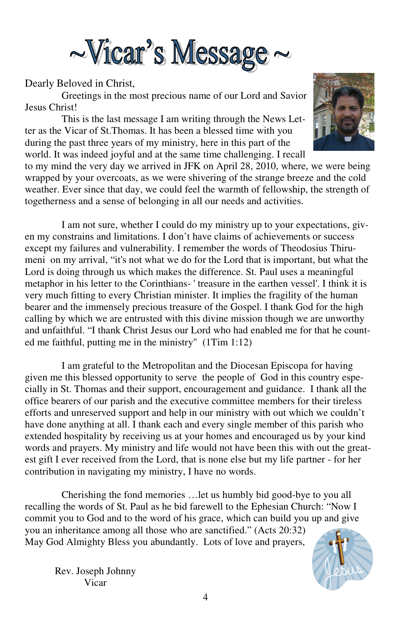

#### Dearly Beloved in Christ,

 Greetings in the most precious name of our Lord and Savior Jesus Christ!

 This is the last message I am writing through the News Letter as the Vicar of St.Thomas. It has been a blessed time with you during the past three years of my ministry, here in this part of the world. It was indeed joyful and at the same time challenging. I recall



to my mind the very day we arrived in JFK on April 28, 2010, where, we were being wrapped by your overcoats, as we were shivering of the strange breeze and the cold weather. Ever since that day, we could feel the warmth of fellowship, the strength of togetherness and a sense of belonging in all our needs and activities.

 I am not sure, whether I could do my ministry up to your expectations, given my constrains and limitations. I don't have claims of achievements or success except my failures and vulnerability. I remember the words of Theodosius Thirumeni on my arrival, "it's not what we do for the Lord that is important, but what the Lord is doing through us which makes the difference. St. Paul uses a meaningful metaphor in his letter to the Corinthians- ' treasure in the earthen vessel'. I think it is very much fitting to every Christian minister. It implies the fragility of the human bearer and the immensely precious treasure of the Gospel. I thank God for the high calling by which we are entrusted with this divine mission though we are unworthy and unfaithful. "I thank Christ Jesus our Lord who had enabled me for that he counted me faithful, putting me in the ministry" (1Tim 1:12)

 I am grateful to the Metropolitan and the Diocesan Episcopa for having given me this blessed opportunity to serve the people of God in this country especially in St. Thomas and their support, encouragement and guidance. I thank all the office bearers of our parish and the executive committee members for their tireless efforts and unreserved support and help in our ministry with out which we couldn't have done anything at all. I thank each and every single member of this parish who extended hospitality by receiving us at your homes and encouraged us by your kind words and prayers. My ministry and life would not have been this with out the greatest gift I ever received from the Lord, that is none else but my life partner - for her contribution in navigating my ministry, I have no words.

 Cherishing the fond memories …let us humbly bid good-bye to you all recalling the words of St. Paul as he bid farewell to the Ephesian Church: "Now I commit you to God and to the word of his grace, which can build you up and give you an inheritance among all those who are sanctified." (Acts 20:32) May God Almighty Bless you abundantly. Lots of love and prayers,



Rev. Joseph Johnny Vicar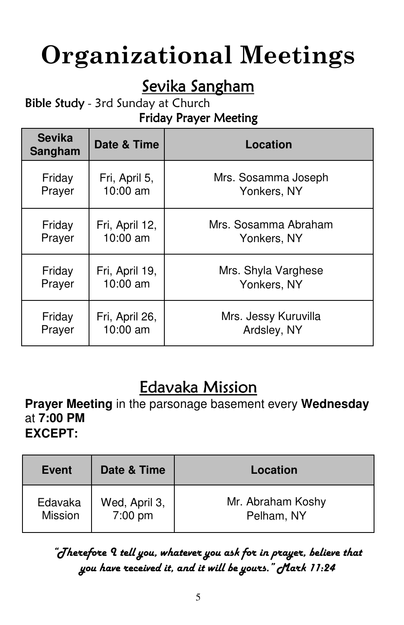# Organizational Meetings

## Sevika Sangham

## Bible Study - 3rd Sunday at Church

## Friday Prayer Meeting

| <b>Sevika</b><br>Sangham | Date & Time    | <b>Location</b>      |
|--------------------------|----------------|----------------------|
| Friday                   | Fri, April 5,  | Mrs. Sosamma Joseph  |
| Prayer                   | 10:00 am       | Yonkers, NY          |
| Friday                   | Fri, April 12, | Mrs. Sosamma Abraham |
| Prayer                   | 10:00 am       | Yonkers, NY          |
| Friday                   | Fri, April 19, | Mrs. Shyla Varghese  |
| Prayer                   | 10:00 am       | Yonkers, NY          |
| Friday                   | Fri, April 26, | Mrs. Jessy Kuruvilla |
| Prayer                   | 10:00 am       | Ardsley, NY          |

## **Edavaka Mission**

**Prayer Meeting** in the parsonage basement every **Wednesday** at **7:00 PM EXCEPT:** 

| Event              | Date & Time              | Location                        |
|--------------------|--------------------------|---------------------------------|
| Edavaka<br>Mission | Wed, April 3,<br>7:00 pm | Mr. Abraham Koshy<br>Pelham, NY |

## "Therefore I tell you, whatever you ask for in prayer, believe that you have received it, and it will be yours." Mark 11:24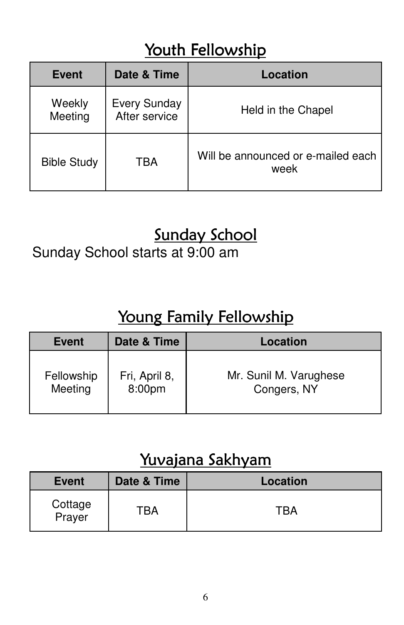## Youth Fellowship

| <b>Event</b>       | Date & Time                          | Location                                   |
|--------------------|--------------------------------------|--------------------------------------------|
| Weekly<br>Meeting  | <b>Every Sunday</b><br>After service | Held in the Chapel                         |
| <b>Bible Study</b> | TBA                                  | Will be announced or e-mailed each<br>week |

## Sunday School

Sunday School starts at 9:00 am

## Young Family Fellowship

| <b>Event</b> | Date & Time   | Location               |
|--------------|---------------|------------------------|
| Fellowship   | Fri, April 8, | Mr. Sunil M. Varughese |
| Meeting      | 8:00pm        | Congers, NY            |

## Yuvajana Sakhyam

| <b>Event</b>      | Date & Time | Location |
|-------------------|-------------|----------|
| Cottage<br>Prayer | ΈRΔ         | ΓRΔ      |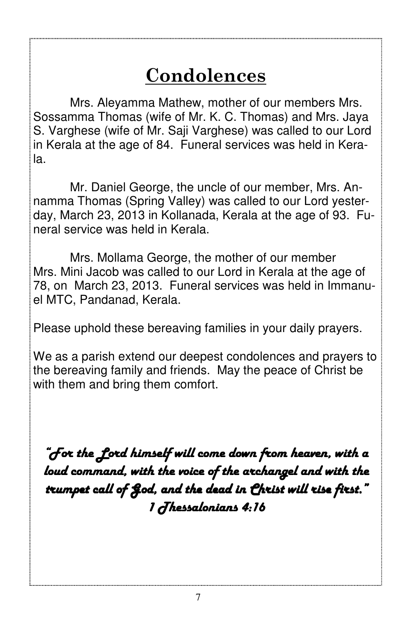## Condolences

 Mrs. Aleyamma Mathew, mother of our members Mrs. Sossamma Thomas (wife of Mr. K. C. Thomas) and Mrs. Jaya S. Varghese (wife of Mr. Saji Varghese) was called to our Lord in Kerala at the age of 84. Funeral services was held in Kerala.

Mr. Daniel George, the uncle of our member, Mrs. Annamma Thomas (Spring Valley) was called to our Lord yesterday, March 23, 2013 in Kollanada, Kerala at the age of 93. Funeral service was held in Kerala.

Mrs. Mollama George, the mother of our member Mrs. Mini Jacob was called to our Lord in Kerala at the age of 78, on March 23, 2013. Funeral services was held in Immanuel MTC, Pandanad, Kerala.

Please uphold these bereaving families in your daily prayers.

We as a parish extend our deepest condolences and prayers to the bereaving family and friends. May the peace of Christ be with them and bring them comfort.

"For the Lord himself will come down from heaven, with a loud command, with the voice of the archangel and with the trumpet call of God, and the dead in Christ will rise first." 1 Thessalonians 4:16